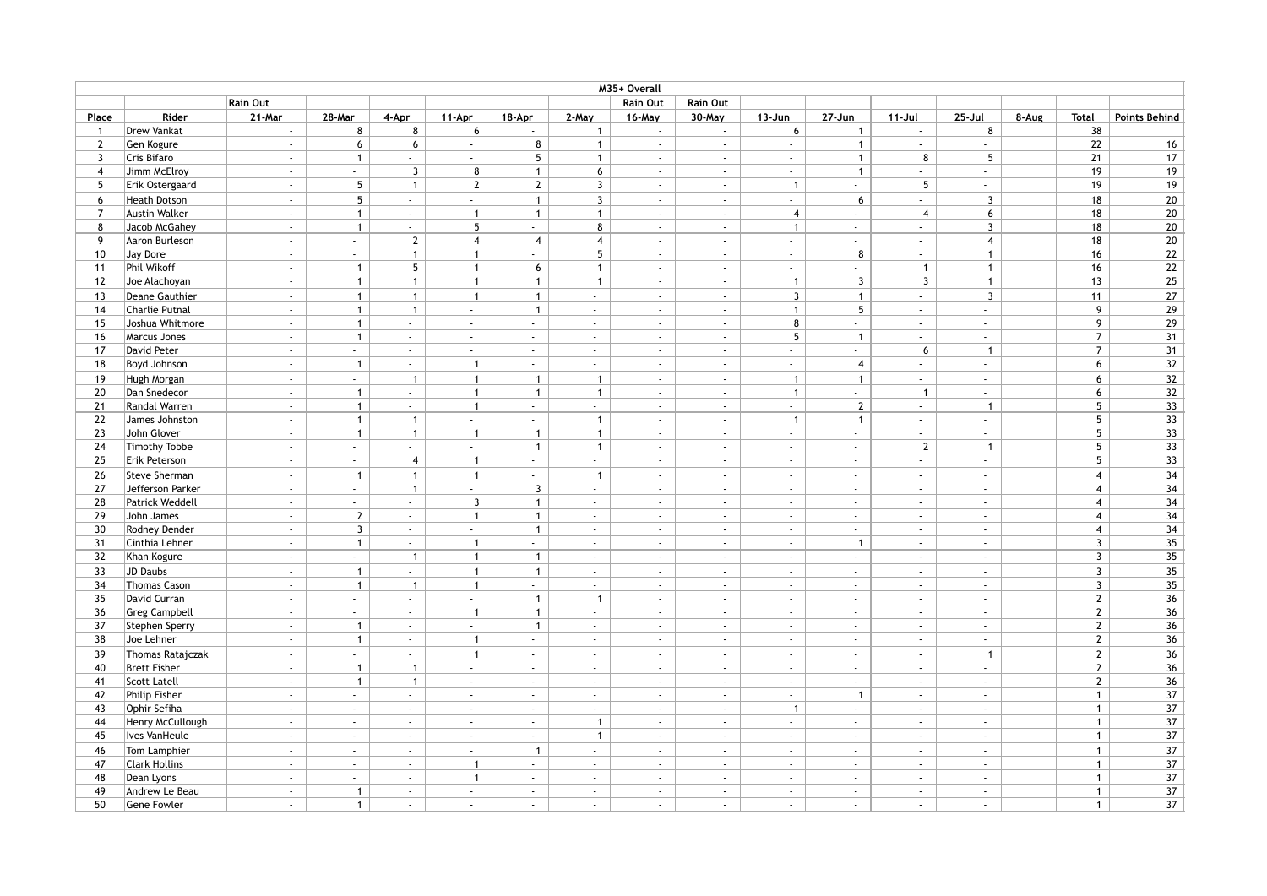|                |                      |                             |                             |                             |                             |                |                             | M35+ Overall                |                             |                             |                             |                             |                             |       |                         |                      |
|----------------|----------------------|-----------------------------|-----------------------------|-----------------------------|-----------------------------|----------------|-----------------------------|-----------------------------|-----------------------------|-----------------------------|-----------------------------|-----------------------------|-----------------------------|-------|-------------------------|----------------------|
|                |                      | <b>Rain Out</b>             |                             |                             |                             |                |                             | Rain Out                    | <b>Rain Out</b>             |                             |                             |                             |                             |       |                         |                      |
| Place          | Rider                | 21-Mar                      | 28-Mar                      | 4-Apr                       | 11-Apr                      | 18-Apr         | 2-May                       | 16-May                      | 30-May                      | $13 - Jun$                  | 27-Jun                      | $11 -$ Jul                  | $25 -$ Jul                  | 8-Aug | <b>Total</b>            | <b>Points Behind</b> |
| $\overline{1}$ | Drew Vankat          | $\sim$                      | 8                           | 8                           | 6                           | $\blacksquare$ | $\mathbf{1}$                | $\sim$                      | $\sim$                      | 6                           | $\mathbf{1}$                | $\sim$                      | 8                           |       | 38                      |                      |
| $\overline{2}$ | Gen Kogure           | $\sim$                      | 6                           | 6                           | $\sim$                      | 8              | $\mathbf{1}$                | $\sim$                      | $\sim$                      | $\sim$                      | $\mathbf{1}$                | $\sim$                      | $\sim$                      |       | 22                      | 16                   |
| 3              | Cris Bifaro          | $\sim$                      | $\mathbf{1}$                | ÷.                          | $\omega$                    | 5              | $\mathbf{1}$                | $\mathcal{L}_{\mathcal{A}}$ | $\sim$                      | $\mathbb{Z}^2$              | $\mathbf{1}$                | 8                           | 5                           |       | 21                      | 17                   |
| 4              | Jimm McElroy         | $\sim$                      | u.                          | $\overline{3}$              | 8                           | $\mathbf{1}$   | 6                           | $\mathcal{L}_{\mathcal{A}}$ | $\sim$                      | $\sim$                      | $\mathbf{1}$                | $\sim$                      | $\mathcal{L}$               |       | 19                      | 19                   |
| 5              | Erik Ostergaard      | $\sim$                      | $5\overline{)}$             | $\mathbf{1}$                | $\overline{2}$              | $\overline{2}$ | $\overline{3}$              | $\mathcal{L}$               | $\sim$                      | $\mathbf{1}$                | $\sim$                      | 5                           | $\mathcal{L}$               |       | 19                      | $\overline{19}$      |
| 6              | <b>Heath Dotson</b>  | $\sim$                      | $5\phantom{.0}$             | $\sim$                      | $\sim$                      | $\mathbf{1}$   | $\overline{3}$              | $\sim$                      | $\sim$                      | $\sim$                      | 6                           | $\sim$                      | $\overline{3}$              |       | 18                      | $20\,$               |
| $\overline{7}$ | Austin Walker        | $\sim$                      | $\mathbf{1}$                | $\sim$                      | $\mathbf{1}$                | $\mathbf{1}$   | $\mathbf{1}$                | $\mathbb{Z}^{\times}$       | $\sim$                      | $\overline{4}$              | $\sim$                      | $\overline{4}$              | 6                           |       | 18                      | 20                   |
| 8              | Jacob McGahey        | $\sim$                      | $\mathbf{1}$                | $\mathcal{L}_{\mathcal{A}}$ | 5                           | a.             | 8                           | $\mathcal{L}$               | $\sim$                      | $\mathbf{1}$                | $\sim$                      | ÷.                          | $\overline{3}$              |       | 18                      | 20                   |
| 9              | Aaron Burleson       | $\mathcal{L}$               | ä,                          | $\mathbf{2}$                | $\overline{4}$              | $\overline{4}$ | $\overline{4}$              | $\mathbf{r}$                | $\mathcal{L}^{\mathcal{L}}$ | $\sim$                      | ÷.                          | $\mathcal{L}^{\mathcal{L}}$ | $\overline{4}$              |       | 18                      | 20                   |
| 10             | Jay Dore             | $\sim$                      | $\sim$                      | $\mathbf{1}$                | $\mathbf{1}$                | a.             | 5                           | $\mathcal{L}$               | $\sim$                      | $\sim$                      | 8                           | $\omega$                    | $\overline{1}$              |       | 16                      | 22                   |
| 11             | Phil Wikoff          | $\sim$                      | $\overline{1}$              | 5                           | $\mathbf{1}$                | 6              | $\mathbf{1}$                | $\mathcal{L}_{\mathcal{A}}$ | $\sim$                      | $\omega$                    | ÷.                          | $\mathbf{1}$                | $\overline{1}$              |       | 16                      | 22                   |
| 12             | Joe Alachoyan        | $\sim$                      | $\mathbf{1}$                | $\mathbf{1}$                | $\mathbf{1}$                | $\mathbf{1}$   | $\mathbf{1}$                | $\overline{\phantom{a}}$    | $\sim$                      | $\mathbf{1}$                | 3                           | 3                           | $\overline{1}$              |       | 13                      | 25                   |
| 13             | Deane Gauthier       | $\sim$                      | $\mathbf{1}$                | $\mathbf{1}$                | $\mathbf{1}$                | $\mathbf{1}$   | $\sim$                      | $\omega$                    | $\sim$                      | $\overline{3}$              | $\mathbf{1}$                | $\omega_{\rm c}$            | $\overline{3}$              |       | 11                      | 27                   |
| 14             | Charlie Putnal       | $\mathcal{L}$               | $\mathbf{1}$                | $\mathbf{1}$                | $\sim$                      | $\mathbf{1}$   | $\mathbb{Z}^2$              | $\omega$                    | $\sim$                      | $\mathbf{1}$                | 5                           | $\omega$                    | $\mathcal{L}_{\mathcal{A}}$ |       | 9                       | 29                   |
| 15             | Joshua Whitmore      | $\sim$                      | $\mathbf{1}$                | $\sim$                      | $\sim$                      | a.             | $\mathcal{L}^{\pm}$         | $\sim$                      | $\sim$                      | 8                           | $\sim$                      | $\omega$                    | $\omega$                    |       | 9                       | 29                   |
| 16             | Marcus Jones         | $\sim$                      | $\mathbf{1}$                | $\sim$                      | ÷.                          | a.             | $\sim$                      | $\mathcal{L}$               | $\sim$                      | 5                           | $\mathbf{1}$                | ÷.                          | $\sim$                      |       | $\overline{7}$          | 31                   |
| 17             | David Peter          | $\sim$                      | ÷.                          | $\sim$                      | $\omega$                    | $\omega$       | $\sim$                      | $\mathcal{L}$               | $\sim$                      | $\sim$                      | ¥.                          | 6                           | $\overline{1}$              |       | $\overline{7}$          | 31                   |
| 18             | Boyd Johnson         | $\sim$                      | $\overline{1}$              | $\sim$                      | $\mathbf{1}$                | $\sim$         | $\sim$                      | $\mathcal{L}$               | $\sim$                      | $\sim$                      | $\overline{4}$              | $\omega_{\rm{eff}}$         | $\sim$                      |       | 6                       | 32                   |
| 19             | Hugh Morgan          | $\sim$                      | ä,                          | $\mathbf{1}$                | $\mathbf{1}$                | $\mathbf{1}$   | $\mathbf{1}$                | $\mathcal{L}$               | $\sim$                      | $\mathbf{1}$                | $\mathbf{1}$                | $\omega_{\rm c}$            | $\sim$                      |       | 6                       | 32                   |
| 20             | Dan Snedecor         | $\sim$                      | $\overline{1}$              | $\mathcal{L}$               | $\mathbf{1}$                | $\mathbf{1}$   | $\mathbf{1}$                | $\mathbf{r}$                | $\omega$                    | $\mathbf{1}$                | ¥.                          | $\mathbf{1}$                | $\omega$                    |       | 6                       | 32                   |
| 21             | Randal Warren        | $\sim$                      | $\mathbf{1}$                | $\mathcal{L}$               | $\mathbf{1}$                | ¥.             | $\sim$                      | $\mathcal{L}$               | $\sim$                      | $\sim$                      | $\mathbf{2}$                | $\omega$                    | $\overline{1}$              |       | 5                       | 33                   |
| 22             | James Johnston       | $\sim$                      | $\mathbf{1}$                | $\mathbf{1}$                | $\sim$                      | $\sim$         | $\mathbf{1}$                | $\mathcal{L}_{\mathcal{A}}$ | $\sim$                      | $\mathbf{1}$                | $\mathbf{1}$                | $\sim$                      | $\sim$                      |       | 5                       | 33                   |
| 23             | John Glover          | $\sim$                      | $\overline{1}$              | $\mathbf{1}$                | $\mathbf{1}$                | $\overline{1}$ | $\mathbf{1}$                | $\sim$                      | $\sim$                      | $\sim$                      | $\sim$                      | $\sim$                      | $\sim$                      |       | 5                       | 33                   |
| 24             | Timothy Tobbe        | $\mathcal{L}_{\mathcal{A}}$ | $\omega$                    | ä,                          | $\mathcal{L}_{\mathcal{A}}$ | $\mathbf{1}$   | $\mathbf{1}$                | $\mathcal{L}$               | $\sim$                      | $\mathbb{Z}^2$              | $\mathcal{L}_{\mathcal{A}}$ | $\overline{2}$              | $\overline{1}$              |       | 5                       | 33                   |
| 25             | Erik Peterson        | $\sim$                      | $\mathcal{L}^{\mathcal{L}}$ | $\overline{\mathbf{4}}$     | $\mathbf{1}$                | $\omega$       | $\mathcal{L}^{\pm}$         | $\mathcal{L}$               | $\sim$                      | $\sim$                      | $\sim$                      | $\omega$                    | $\sim$                      |       | 5                       | 33                   |
| 26             | Steve Sherman        | $\sim$                      | $\mathbf{1}$                | $\mathbf{1}$                | $\mathbf{1}$                | ä,             | $\mathbf{1}$                | $\mathbf{r}$                | $\sim$                      | $\sim$                      | $\sim$                      | $\sim$                      | $\mathcal{L}$               |       | $\overline{4}$          | 34                   |
| 27             | Jefferson Parker     | $\sim$                      | $\sim$                      | $\mathbf{1}$                | $\mathcal{L}_{\mathcal{A}}$ | $\overline{3}$ | $\sim$                      | ÷.                          | $\sim$                      | $\sim$                      | $\sim$                      | $\mathcal{L}^{\mathcal{L}}$ | $\sim$                      |       | $\overline{4}$          | 34                   |
| 28             | Patrick Weddell      | $\sim$                      | $\sim$                      | $\sim$                      | $\overline{3}$              | $\mathbf{1}$   | $\sim$                      | $\mathcal{L}_{\mathcal{A}}$ | $\sim$                      | $\sim$                      | $\mathcal{L}$               | $\sim$                      | $\sim$                      |       | $\overline{4}$          | 34                   |
| 29             | John James           | $\sim$                      | $\overline{2}$              | $\sim$                      | $\mathbf{1}$                | $\mathbf{1}$   | $\sim$                      | ÷.                          | $\sim$                      | $\sim$                      | $\sim$                      | $\sim$                      | $\sim$                      |       | $\overline{4}$          | 34                   |
| 30             | Rodney Dender        | $\sim$                      | $\overline{3}$              | $\sim$                      | $\sim$                      | $\mathbf{1}$   | $\sim$                      | $\mathcal{L}_{\mathcal{A}}$ | $\sim$                      | $\mathcal{L}$               | $\mathcal{L}$               | $\omega$                    | $\sim$                      |       | $\overline{4}$          | 34                   |
| 31             | Cinthia Lehner       | $\sim$                      | $\mathbf{1}$                | $\mathcal{L}$               | $\mathbf{1}$                | ¥.             | $\mathbb{Z}^2$              | $\mathcal{L}$               | $\sim$                      | $\sim$                      | $\overline{1}$              | $\sim$                      | $\sim$                      |       | 3                       | 35                   |
| 32             | Khan Kogure          | $\sim$                      | $\sim$                      | $\overline{1}$              | $\mathbf{1}$                | $\overline{1}$ | $\sim$                      | $\sim$                      | $\sim$                      | $\sim$                      | $\sim$                      | $\sim$                      | $\sim$                      |       | $\overline{3}$          | 35                   |
|                |                      |                             |                             |                             |                             |                |                             |                             |                             |                             |                             |                             |                             |       |                         |                      |
| 33             | JD Daubs             | $\sim$                      | $\overline{1}$              | $\sim$                      | $\mathbf{1}$                | $\mathbf{1}$   | $\sim$                      | $\mathcal{L}_{\mathcal{A}}$ | $\sim$                      | $\mathcal{L}$               | $\sim$                      | $\mathbf{r}$                | $\sim$                      |       | $\overline{\mathbf{3}}$ | 35                   |
| 34             | <b>Thomas Cason</b>  | $\sim$                      | $\mathbf{1}$                | $\mathbf{1}$                | $\mathbf{1}$                | ¥.             | $\sim$                      | $\sim$                      | $\sim$                      | $\sim$                      | $\sim$                      | $\sim$                      | $\sim$                      |       | $\overline{\mathbf{3}}$ | 35                   |
| 35             | David Curran         | $\sim$                      | $\mathcal{L}_{\mathcal{A}}$ | $\sim$                      | $\mathcal{L}_{\mathcal{A}}$ | $\mathbf{1}$   | $\overline{1}$              | ÷.                          | $\sim$                      | $\sim$                      | $\sim$                      | ÷.                          | $\sim$                      |       | $\mathbf{2}$            | 36                   |
| 36             | <b>Greg Campbell</b> | $\mathcal{L}^{\mathcal{L}}$ | ¥.                          | $\omega$                    | $\mathbf{1}$                | $\mathbf{1}$   | $\mathcal{L}^{\pm}$         | $\mathcal{L}$<br>÷.         | $\mathcal{L}^{\mathcal{L}}$ | $\sim$                      | $\mathcal{L}_{\mathcal{A}}$ | $\omega$                    | $\mathcal{L}$               |       | $\mathbf{2}$            | 36                   |
| 37             | Stephen Sperry       | $\sim$                      | $\mathbf{1}$                | $\sim$                      | $\mathcal{L}_{\mathcal{A}}$ | $\mathbf{1}$   | $\sim$                      |                             | $\sim$                      | $\sim$                      | $\sim$                      | $\omega$                    | $\sim$                      |       | $\mathbf{2}$            | 36                   |
| 38             | Joe Lehner           | $\sim$                      | $\overline{1}$              | $\mathcal{L}$               | $\mathbf{1}$                | ÷.             | $\sim$                      | $\mathcal{L}_{\mathcal{A}}$ | $\sim$                      | $\sim$                      | $\mathcal{L}$               | $\sim$                      | $\sim$                      |       | $\mathbf{2}$            | 36                   |
| 39             | Thomas Ratajczak     | $\sim$                      | $\mathcal{L}_{\mathcal{A}}$ | $\mathbf{r}$                | $\mathbf{1}$                | $\omega$       | $\sim$                      | $\mathbf{r}$                | $\sim$                      | $\sim$                      | $\mathcal{L}_{\mathcal{A}}$ | $\omega$                    | $\overline{1}$              |       | $\mathbf{2}$            | 36                   |
| 40             | <b>Brett Fisher</b>  | $\sim$                      | $\overline{1}$              | $\mathbf{1}$                | $\sim$                      | $\Delta \phi$  | $\sim$                      | $\mathcal{L}$               | $\sim$                      | $\sim$                      | $\sim$                      | $\sim$                      | $\sim$                      |       | $\mathbf{2}$            | 36                   |
| 41             | Scott Latell         | $\mathcal{L}$               | $\mathbf{1}$                | $\mathbf{1}$                | $\sim$                      | ÷.             | $\sim$                      | $\mathcal{L}$               | $\sim$                      | $\mathcal{L}_{\mathcal{A}}$ | ä,                          | $\omega$                    | $\mathcal{L}_{\mathcal{A}}$ |       | $\mathbf{2}$            | 36                   |
| 42             | Philip Fisher        | $\sim$                      | ÷.                          | $\sim$                      | $\sim$                      | $\omega$       | $\mathbb{Z}^2$              | $\mathcal{L}$               | $\sim$                      | $\sim$                      | $\overline{1}$              | $\omega$                    | $\sim$                      |       | $\mathbf{1}$            | 37                   |
| 43             | Ophir Sefiha         | $\sim$                      | $\sim$                      | $\sim$                      | $\sim$                      | $\sim$         | $\sim$                      | $\sim$                      | $\sim$                      | $\mathbf{1}$                | $\sim$                      | $\mathcal{L}_{\mathcal{A}}$ | $\sim$                      |       | $\mathbf{1}$            | 37                   |
| 44             | Henry McCullough     | $\sim$                      | $\mathcal{L}_{\mathcal{A}}$ | $\sim$                      | $\sim$                      | $\omega$       | $\mathbf{1}$                | $\mathcal{L}$               | $\sim$                      | $\sim$                      | $\sim$                      | $\sim$                      | $\sim$                      |       | $\mathbf{1}$            | $37\,$               |
| 45             | Ives VanHeule        | $\sim$                      | $\sim$                      | $\sim$                      | $\sim$                      | $\sim$         | $\overline{1}$              | ÷.                          | $\sim$                      | $\sim$                      | $\sim$                      | $\mathcal{L}^{\mathcal{L}}$ | $\sim$                      |       | $\mathbf{1}$            | $37\,$               |
| 46             | Tom Lamphier         | $\sim$                      | ÷.                          | $\mathbf{r}$                | $\sim$                      | $\overline{1}$ | $\sim$                      | ÷.                          | $\sim$                      | $\sim$                      | $\sim$                      | ÷.                          | $\sim$                      |       | $\mathbf{1}$            | $37\,$               |
| 47             | <b>Clark Hollins</b> | $\sim$                      | $\mathcal{L}$               | $\mathcal{L}$               | $\mathbf{1}$                | $\omega$       | $\mathcal{L}_{\mathcal{A}}$ | $\mathcal{L}$               | $\sim$                      | $\sim$                      | $\mathcal{L}$               | $\omega$                    | $\mathcal{L}_{\mathcal{A}}$ |       | $\mathbf{1}$            | 37                   |
| 48             | Dean Lyons           | $\sim$                      | $\sim$                      | $\sim$                      | $\mathbf{1}$                | $\Delta \phi$  | $\sim$                      | ÷.                          | $\sim$                      | $\sim$                      | $\sim$                      | $\mathcal{L}^{\mathcal{L}}$ | $\sim$                      |       | $\mathbf{1}$            | $\overline{37}$      |
| 49             | Andrew Le Beau       | $\sim$                      | $\mathbf{1}$                | $\mathcal{L}_{\mathcal{A}}$ | $\sim$                      | $\omega$       | $\sim$                      | $\mathcal{L}_{\mathcal{A}}$ | $\sim$                      | $\sim$                      | $\sim$                      | $\omega$                    | $\sim$                      |       | $\mathbf{1}$            | 37                   |
| 50             | Gene Fowler          | $\sim$                      | $\mathbf{1}$                | ×.                          | $\sim$                      | $\sim$         | $\sim$                      | ÷.                          | $\sim$                      | $\sim$                      | $\sim$                      | $\sim$                      | $\sim$                      |       | $\mathbf{1}$            | 37                   |